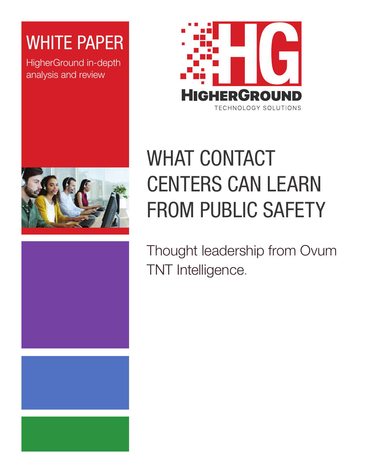### WHITE PAPER

HigherGround in-depth analysis and review







# WHAT CONTACT **CENTERS CAN LEARN** FROM PUBLIC SAFETY

Thought leadership from Ovum TNT Intelligence.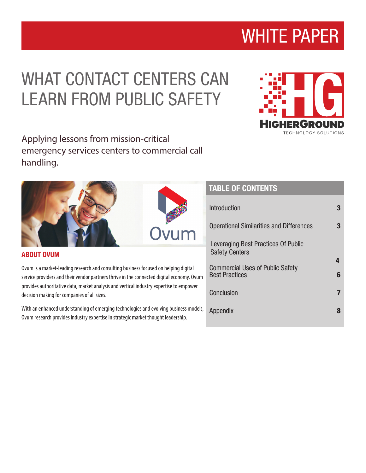### WHAT CONTACT CENTERS CAN LEARN FROM PUBLIC SAFETY

Applying lessons from mission-critical emergency services centers to commercial call handling.

ABOUT OVUM

Ovum is a market-leading research and consulting business focused on helping digital service providers and their vendor partners thrive in the connected digital economy. Ovum provides authoritative data, market analysis and vertical industry expertise to empower decision making for companies of all sizes.

With an enhanced understanding of emerging technologies and evolving business models, Ovum research provides industry expertise in strategic market thought leadership.

### TABLE OF CONTENTS TABLE OF CONTENTS

| <b>Introduction</b>                                              |   |
|------------------------------------------------------------------|---|
| Operational Similarities and Differences                         |   |
| Leveraging Best Practices Of Public<br><b>Safety Centers</b>     |   |
| <b>Commercial Uses of Public Safety</b><br><b>Best Practices</b> | 6 |
| Conclusion                                                       |   |
| Appendix                                                         | 8 |
|                                                                  |   |



## WHITE PAPER

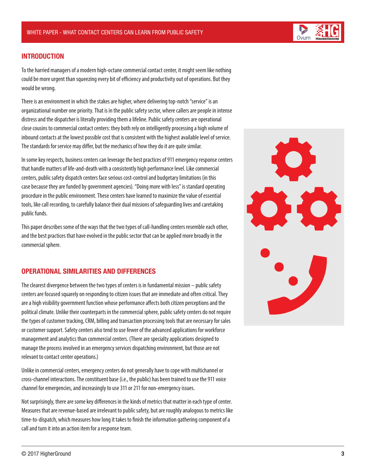

To the harried managers of a modern high-octane commercial contact center, it might seem like nothing could be more urgent than squeezing every bit of efficiency and productivity out of operations. But they would be wrong.

There is an environment in which the stakes are higher, where delivering top-notch "service" is an organizational number one priority. That is in the public safety sector, where callers are people in intense distress and the dispatcher is literally providing them a lifeline. Public safety centers are operational close cousins to commercial contact centers: they both rely on intelligently processing a high volume of inbound contacts at the lowest possible cost that is consistent with the highest available level of service. The standards for service may differ, but the mechanics of how they do it are quite similar.

In some key respects, business centers can leverage the best practices of 911 emergency response centers that handle matters of life-and-death with a consistently high performance level. Like commercial centers, public safety dispatch centers face serious cost-control and budgetary limitations (in this case because they are funded by government agencies). "Doing more with less" is standard operating procedure in the public environment. These centers have learned to maximize the value of essential tools, like call recording, to carefully balance their dual missions of safeguarding lives and caretaking public funds.

This paper describes some of the ways that the two types of call-handling centers resemble each other, and the best practices that have evolved in the public sector that can be applied more broadly in the commercial sphere.

#### OPERATIONAL SIMILARITIES AND DIFFERENCES

The clearest divergence between the two types of centers is in fundamental mission – public safety centers are focused squarely on responding to citizen issues that are immediate and often critical. They are a high visibility government function whose performance affects both citizen perceptions and the political climate. Unlike their counterparts in the commercial sphere, public safety centers do not require the types of customer tracking, CRM, billing and transaction processing tools that are necessary for sales or customer support. Safety centers also tend to use fewer of the advanced applications for workforce management and analytics than commercial centers. (There are specialty applications designed to manage the process involved in an emergency services dispatching environment, but those are not relevant to contact center operations.)

Unlike in commercial centers, emergency centers do not generally have to cope with multichannel or cross-channel interactions. The constituent base (i.e., the public) has been trained to use the 911 voice channel for emergencies, and increasingly to use 311 or 211 for non-emergency issues.

Not surprisingly, there are some key differences in the kinds of metrics that matter in each type of center. Measures that are revenue-based are irrelevant to public safety, but are roughly analogous to metrics like time-to-dispatch, which measures how long it takes to finish the information gathering component of a call and turn it into an action item for a response team.



Ovum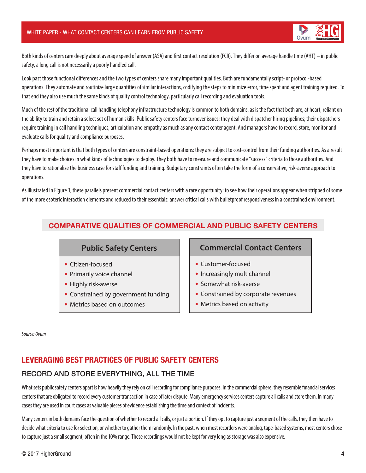

Both kinds of centers care deeply about average speed of answer (ASA) and first contact resolution (FCR). They differ on average handle time (AHT) – in public safety, a long call is not necessarily a poorly handled call.

Look past those functional differences and the two types of centers share many important qualities. Both are fundamentally script- or protocol-based operations. They automate and routinize large quantities of similar interactions, codifying the steps to minimize error, time spent and agent training required. To that end they also use much the same kinds of quality control technology, particularly call recording and evaluation tools.

Much of the rest of the traditional call handling telephony infrastructure technology is common to both domains, as is the fact that both are, at heart, reliant on the ability to train and retain a select set of human skills. Public safety centers face turnover issues; they deal with dispatcher hiring pipelines; their dispatchers require training in call handling techniques, articulation and empathy as much as any contact center agent. And managers have to record, store, monitor and evaluate calls for quality and compliance purposes.

Perhaps most important is that both types of centers are constraint-based operations: they are subject to cost-control from their funding authorities. As a result they have to make choices in what kinds of technologies to deploy. They both have to measure and communicate "success" criteria to those authorities. And they have to rationalize the business case for staff funding and training. Budgetary constraints often take the form of a conservative, risk-averse approach to operations.

As illustrated in Figure 1, these parallels present commercial contact centers with a rare opportunity: to see how their operations appear when stripped of some of the more esoteric interaction elements and reduced to their essentials: answer critical calls with bulletproof responsiveness in a constrained environment.

#### COMPARATIVE QUALITIES OF COMMERCIAL AND PUBLIC SAFETY CENTERS

#### **Public Safety Centers**

- Citizen-focused
- Primarily voice channel
- Highly risk-averse
- Constrained by government funding
- Metrics based on outcomes

#### **Commercial Contact Centers**

- Customer-focused
- Increasingly multichannel
- Somewhat risk-averse
- Constrained by corporate revenues
- Metrics based on activity

*Source: Ovum*

#### LEVERAGING BEST PRACTICES OF PUBLIC SAFETY CENTERS

#### RECORD AND STORE EVERYTHING, ALL THE TIME

What sets public safety centers apart is how heavily they rely on call recording for compliance purposes. In the commercial sphere, they resemble financial services centers that are obligated to record every customer transaction in case of later dispute. Many emergency services centers capture all calls and store them. In many cases they are used in court cases as valuable pieces of evidence establishing the time and context of incidents.

Many centers in both domains face the question of whether to record all calls, or just a portion. If they opt to capture just a segment of the calls, they then have to decide what criteria to use for selection, or whether to gather them randomly. In the past, when most recorders were analog, tape-based systems, most centers chose to capture just a small segment, often in the 10% range. These recordings would not be kept for very long as storage was also expensive.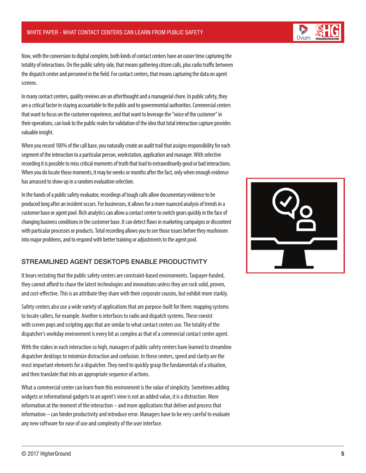Now, with the conversion to digital complete, both kinds of contact centers have an easier time capturing the totality of interactions. On the public safety side, that means gathering citizen calls, plus radio traffic between the dispatch center and personnel in the field. For contact centers, that means capturing the data on agent screens.

In many contact centers, quality reviews are an afterthought and a managerial chore. In public safety, they are a critical factor in staying accountable to the public and to governmental authorities. Commercial centers that want to focus on the customer experience, and that want to leverage the "voice of the customer" in their operations, can look to the public realm for validation of the idea that total interaction capture provides valuable insight.

When you record 100% of the call base, you naturally create an audit trail that assigns responsibility for each segment of the interaction to a particular person, workstation, application and manager. With selective recording it is possible to miss critical moments of truth that lead to extraordinarily good or bad interactions. When you do locate those moments, it may be weeks or months after the fact, only when enough evidence has amassed to show up in a random evaluation selection.

In the hands of a public safety evaluator, recordings of tough calls allow documentary evidence to be produced long after an incident occurs. For businesses, it allows for a more nuanced analysis of trends in a customer base or agent pool. Rich analytics can allow a contact center to switch gears quickly in the face of changing business conditions in the customer base. It can detect flaws in marketing campaigns or discontent with particular processes or products. Total recording allows you to see those issues before they mushroom into major problems, and to respond with better training or adjustments to the agent pool.

#### STREAMLINED AGENT DESKTOPS ENABLE PRODUCTIVITY

It bears restating that the public safety centers are constraint-based environments. Taxpayer-funded, they cannot afford to chase the latest technologies and innovations unless they are rock solid, proven, and cost-effective. This is an attribute they share with their corporate cousins, but exhibit more starkly.

Safety centers also use a wide variety of applications that are purpose-built for them: mapping systems to locate callers, for example. Another is interfaces to radio and dispatch systems. These coexist with screen pops and scripting apps that are similar to what contact centers use. The totality of the dispatcher's workday environment is every bit as complex as that of a commercial contact center agent.

With the stakes in each interaction so high, managers of public safety centers have learned to streamline dispatcher desktops to minimize distraction and confusion. In these centers, speed and clarity are the most important elements for a dispatcher. They need to quickly grasp the fundamentals of a situation, and then translate that into an appropriate sequence of actions.

What a commercial center can learn from this environment is the value of simplicity. Sometimes adding widgets or informational gadgets to an agent's view is not an added value, it is a distraction. More information at the moment of the interaction – and more applications that deliver and process that information – can hinder productivity and introduce error. Managers have to be very careful to evaluate any new software for ease of use and complexity of the user interface.



Ovum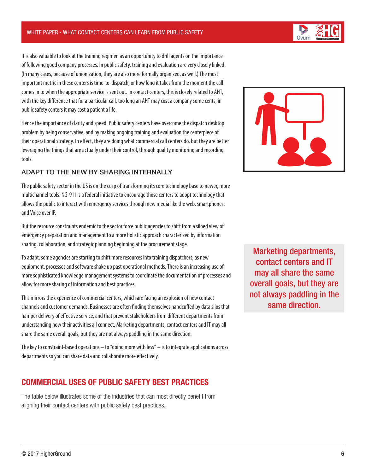It is also valuable to look at the training regimen as an opportunity to drill agents on the importance of following good company processes. In public safety, training and evaluation are very closely linked. (In many cases, because of unionization, they are also more formally organized, as well.) The most important metric in these centers is time-to-dispatch, or how long it takes from the moment the call comes in to when the appropriate service is sent out. In contact centers, this is closely related to AHT, with the key difference that for a particular call, too long an AHT may cost a company some cents; in public safety centers it may cost a patient a life.

Hence the importance of clarity and speed. Public safety centers have overcome the dispatch desktop problem by being conservative, and by making ongoing training and evaluation the centerpiece of their operational strategy. In effect, they are doing what commercial call centers do, but they are better leveraging the things that are actually under their control, through quality monitoring and recording tools.

#### ADAPT TO THE NEW BY SHARING INTERNALLY

The public safety sector in the US is on the cusp of transforming its core technology base to newer, more multichannel tools. NG-911 is a federal initiative to encourage those centers to adopt technology that allows the public to interact with emergency services through new media like the web, smartphones, and Voice over IP.

But the resource constraints endemic to the sector force public agencies to shift from a siloed view of emergency preparation and management to a more holistic approach characterized by information sharing, collaboration, and strategic planning beginning at the procurement stage.

To adapt, some agencies are starting to shift more resources into training dispatchers, as new equipment, processes and software shake up past operational methods. There is an increasing use of more sophisticated knowledge management systems to coordinate the documentation of processes and allow for more sharing of information and best practices.

This mirrors the experience of commercial centers, which are facing an explosion of new contact channels and customer demands. Businesses are often finding themselves handcuffed by data silos that hamper delivery of effective service, and that prevent stakeholders from different departments from understanding how their activities all connect. Marketing departments, contact centers and IT may all share the same overall goals, but they are not always paddling in the same direction.

The key to constraint-based operations – to "doing more with less" – is to integrate applications across departments so you can share data and collaborate more effectively.

#### COMMERCIAL USES OF PUBLIC SAFETY BEST PRACTICES

The table below illustrates some of the industries that can most directly benefit from aligning their contact centers with public safety best practices.

Marketing departments, contact centers and IT may all share the same overall goals, but they are not always paddling in the same direction.

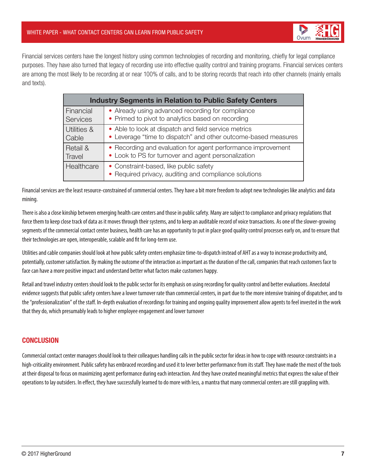

Financial services centers have the longest history using common technologies of recording and monitoring, chiefly for legal compliance purposes. They have also turned that legacy of recording use into effective quality control and training programs. Financial services centers are among the most likely to be recording at or near 100% of calls, and to be storing records that reach into other channels (mainly emails and texts).

| <b>Industry Segments in Relation to Public Safety Centers</b> |                                                                                                 |
|---------------------------------------------------------------|-------------------------------------------------------------------------------------------------|
| Financial                                                     | • Already using advanced recording for compliance                                               |
| Services                                                      | • Primed to pivot to analytics based on recording                                               |
| Utilities &                                                   | • Able to look at dispatch and field service metrics                                            |
| Cable                                                         | • Leverage "time to dispatch" and other outcome-based measures                                  |
| Retail &                                                      | • Recording and evaluation for agent performance improvement                                    |
| <b>Travel</b>                                                 | • Look to PS for turnover and agent personalization                                             |
| Healthcare                                                    | • Constraint-based, like public safety<br>• Required privacy, auditing and compliance solutions |

Financial services are the least resource-constrained of commercial centers. They have a bit more freedom to adopt new technologies like analytics and data mining.

There is also a close kinship between emerging health care centers and those in public safety. Many are subject to compliance and privacy regulations that force them to keep close track of data as it moves through their systems, and to keep an auditable record of voice transactions. As one of the slower-growing segments of the commercial contact center business, health care has an opportunity to put in place good quality control processes early on, and to ensure that their technologies are open, interoperable, scalable and fit for long-term use.

Utilities and cable companies should look at how public safety centers emphasize time-to-dispatch instead of AHT as a way to increase productivity and, potentially, customer satisfaction. By making the outcome of the interaction as important as the duration of the call, companies that reach customers face to face can have a more positive impact and understand better what factors make customers happy.

Retail and travel industry centers should look to the public sector for its emphasis on using recording for quality control and better evaluations. Anecdotal evidence suggests that public safety centers have a lower turnover rate than commercial centers, in part due to the more intensive training of dispatcher, and to the "professionalization" of the staff. In-depth evaluation of recordings for training and ongoing quality improvement allow agents to feel invested in the work that they do, which presumably leads to higher employee engagement and lower turnover

#### **CONCLUSION**

Commercial contact center managers should look to their colleagues handling calls in the public sector for ideas in how to cope with resource constraints in a high-criticality environment. Public safety has embraced recording and used it to lever better performance from its staff. They have made the most of the tools at their disposal to focus on maximizing agent performance during each interaction. And they have created meaningful metrics that express the value of their operations to lay outsiders. In effect, they have successfully learned to do more with less, a mantra that many commercial centers are still grappling with.